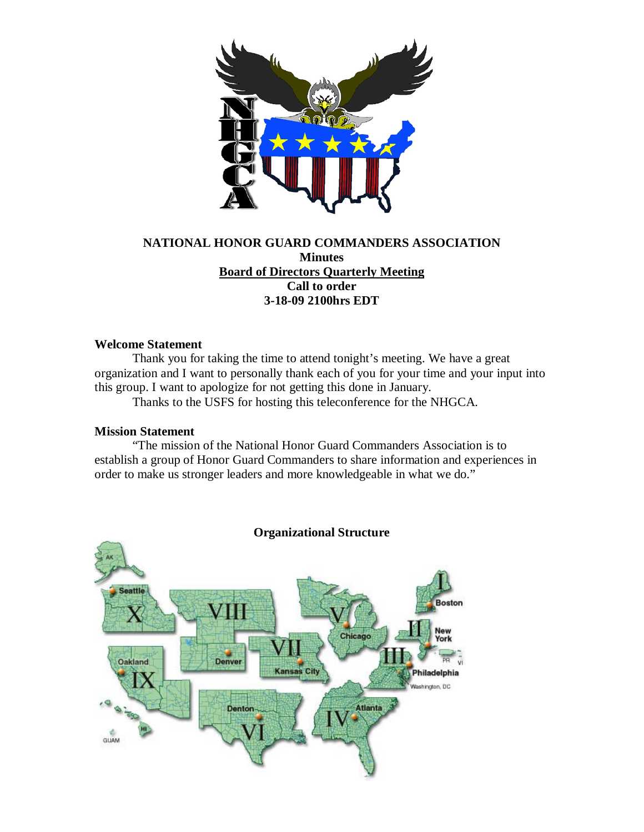

# **NATIONAL HONOR GUARD COMMANDERS ASSOCIATION Minutes Board of Directors Quarterly Meeting Call to order 3-18-09 2100hrs EDT**

### **Welcome Statement**

Thank you for taking the time to attend tonight's meeting. We have a great organization and I want to personally thank each of you for your time and your input into this group. I want to apologize for not getting this done in January.

Thanks to the USFS for hosting this teleconference for the NHGCA.

#### **Mission Statement**

"The mission of the National Honor Guard Commanders Association is to establish a group of Honor Guard Commanders to share information and experiences in order to make us stronger leaders and more knowledgeable in what we do."



### **Organizational Structure**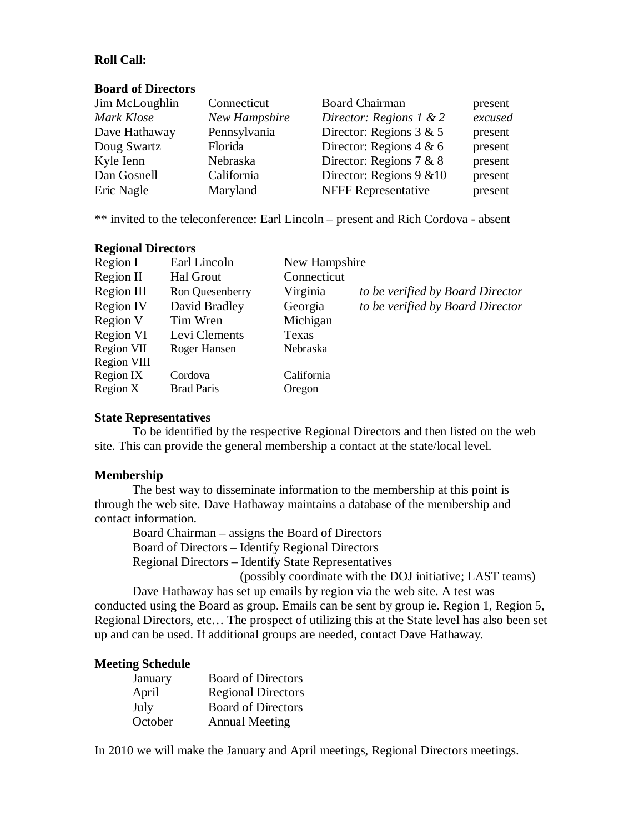# **Roll Call:**

#### **Board of Directors**

| Jim McLoughlin | Connecticut   | <b>Board Chairman</b>       | present |
|----------------|---------------|-----------------------------|---------|
| Mark Klose     | New Hampshire | Director: Regions 1 & 2     | excused |
| Dave Hathaway  | Pennsylvania  | Director: Regions $3 & 5$   | present |
| Doug Swartz    | Florida       | Director: Regions $4 & 6$   | present |
| Kyle Ienn      | Nebraska      | Director: Regions 7 & 8     | present |
| Dan Gosnell    | California    | Director: Regions $9 \& 10$ | present |
| Eric Nagle     | Maryland      | <b>NFFF Representative</b>  | present |

\*\* invited to the teleconference: Earl Lincoln – present and Rich Cordova - absent

### **Regional Directors**

| Earl Lincoln      | New Hampshire |                                  |
|-------------------|---------------|----------------------------------|
| Hal Grout         | Connecticut   |                                  |
| Ron Quesenberry   | Virginia      | to be verified by Board Director |
| David Bradley     | Georgia       | to be verified by Board Director |
| Tim Wren          | Michigan      |                                  |
| Levi Clements     | Texas         |                                  |
| Roger Hansen      | Nebraska      |                                  |
|                   |               |                                  |
| Cordova           | California    |                                  |
| <b>Brad Paris</b> | Oregon        |                                  |
|                   |               |                                  |

#### **State Representatives**

To be identified by the respective Regional Directors and then listed on the web site. This can provide the general membership a contact at the state/local level.

#### **Membership**

The best way to disseminate information to the membership at this point is through the web site. Dave Hathaway maintains a database of the membership and contact information.

Board Chairman – assigns the Board of Directors Board of Directors – Identify Regional Directors Regional Directors – Identify State Representatives (possibly coordinate with the DOJ initiative; LAST teams)

 Dave Hathaway has set up emails by region via the web site. A test was conducted using the Board as group. Emails can be sent by group ie. Region 1, Region 5, Regional Directors, etc… The prospect of utilizing this at the State level has also been set up and can be used. If additional groups are needed, contact Dave Hathaway.

#### **Meeting Schedule**

| January | <b>Board of Directors</b> |
|---------|---------------------------|
| April   | <b>Regional Directors</b> |
| July    | <b>Board of Directors</b> |
| October | <b>Annual Meeting</b>     |

In 2010 we will make the January and April meetings, Regional Directors meetings.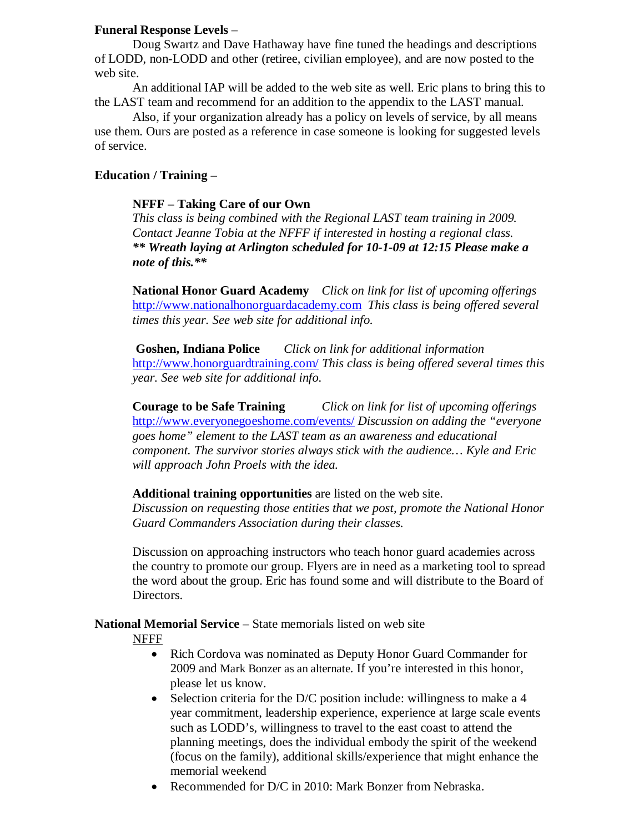# **Funeral Response Levels** –

Doug Swartz and Dave Hathaway have fine tuned the headings and descriptions of LODD, non-LODD and other (retiree, civilian employee), and are now posted to the web site.

An additional IAP will be added to the web site as well. Eric plans to bring this to the LAST team and recommend for an addition to the appendix to the LAST manual.

Also, if your organization already has a policy on levels of service, by all means use them. Ours are posted as a reference in case someone is looking for suggested levels of service.

# **Education / Training –**

### **NFFF – Taking Care of our Own**

*This class is being combined with the Regional LAST team training in 2009. Contact Jeanne Tobia at the NFFF if interested in hosting a regional class. \*\* Wreath laying at Arlington scheduled for 10-1-09 at 12:15 Please make a note of this.\*\**

**National Honor Guard Academy** *Click on link for list of upcoming offerings* [http://www.nationalhonorguardacademy.com](http://www.nationalhonorguardacademy.com/) *This class is being offered several times this year. See web site for additional info.*

**Goshen, Indiana Police** *Click on link for additional information* <http://www.honorguardtraining.com/> *This class is being offered several times this year. See web site for additional info.*

**Courage to be Safe Training** *Click on link for list of upcoming offerings* <http://www.everyonegoeshome.com/events/> *Discussion on adding the "everyone goes home" element to the LAST team as an awareness and educational component. The survivor stories always stick with the audience… Kyle and Eric will approach John Proels with the idea.*

## **Additional training opportunities** are listed on the web site.

*Discussion on requesting those entities that we post, promote the National Honor Guard Commanders Association during their classes.* 

Discussion on approaching instructors who teach honor guard academies across the country to promote our group. Flyers are in need as a marketing tool to spread the word about the group. Eric has found some and will distribute to the Board of Directors.

# **National Memorial Service** – State memorials listed on web site

## NFFF

- Rich Cordova was nominated as Deputy Honor Guard Commander for 2009 and Mark Bonzer as an alternate. If you're interested in this honor, please let us know.
- Selection criteria for the D/C position include: willingness to make a 4 year commitment, leadership experience, experience at large scale events such as LODD's, willingness to travel to the east coast to attend the planning meetings, does the individual embody the spirit of the weekend (focus on the family), additional skills/experience that might enhance the memorial weekend
- Recommended for D/C in 2010: Mark Bonzer from Nebraska.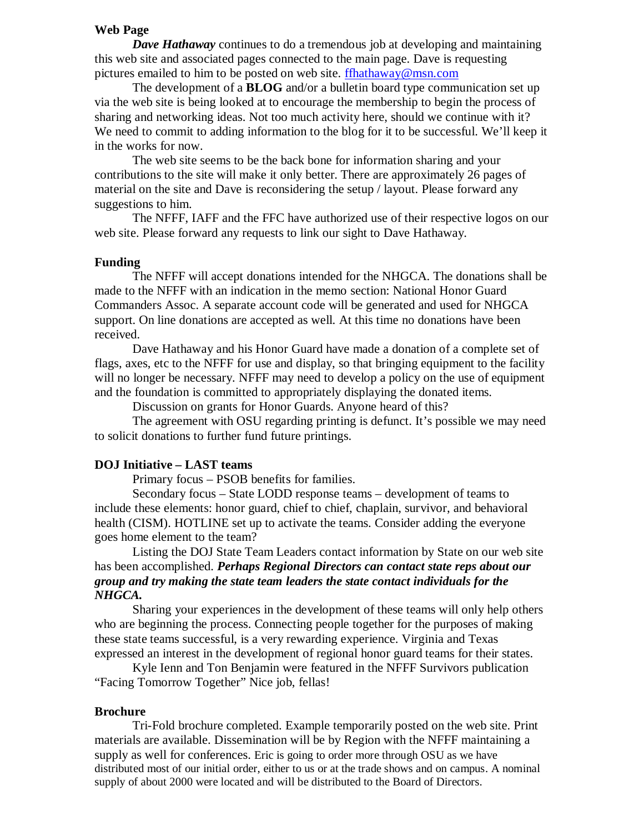### **Web Page**

*Dave Hathaway* continues to do a tremendous job at developing and maintaining this web site and associated pages connected to the main page. Dave is requesting pictures emailed to him to be posted on web site. **ffhathaway@msn.com** 

The development of a **BLOG** and/or a bulletin board type communication set up via the web site is being looked at to encourage the membership to begin the process of sharing and networking ideas. Not too much activity here, should we continue with it? We need to commit to adding information to the blog for it to be successful. We'll keep it in the works for now.

The web site seems to be the back bone for information sharing and your contributions to the site will make it only better. There are approximately 26 pages of material on the site and Dave is reconsidering the setup / layout. Please forward any suggestions to him.

The NFFF, IAFF and the FFC have authorized use of their respective logos on our web site. Please forward any requests to link our sight to Dave Hathaway.

#### **Funding**

The NFFF will accept donations intended for the NHGCA. The donations shall be made to the NFFF with an indication in the memo section: National Honor Guard Commanders Assoc. A separate account code will be generated and used for NHGCA support. On line donations are accepted as well. At this time no donations have been received.

Dave Hathaway and his Honor Guard have made a donation of a complete set of flags, axes, etc to the NFFF for use and display, so that bringing equipment to the facility will no longer be necessary. NFFF may need to develop a policy on the use of equipment and the foundation is committed to appropriately displaying the donated items.

Discussion on grants for Honor Guards. Anyone heard of this?

The agreement with OSU regarding printing is defunct. It's possible we may need to solicit donations to further fund future printings.

### **DOJ Initiative – LAST teams**

Primary focus – PSOB benefits for families.

Secondary focus – State LODD response teams – development of teams to include these elements: honor guard, chief to chief, chaplain, survivor, and behavioral health (CISM). HOTLINE set up to activate the teams. Consider adding the everyone goes home element to the team?

Listing the DOJ State Team Leaders contact information by State on our web site has been accomplished. *Perhaps Regional Directors can contact state reps about our group and try making the state team leaders the state contact individuals for the NHGCA.*

Sharing your experiences in the development of these teams will only help others who are beginning the process. Connecting people together for the purposes of making these state teams successful, is a very rewarding experience. Virginia and Texas expressed an interest in the development of regional honor guard teams for their states.

Kyle Ienn and Ton Benjamin were featured in the NFFF Survivors publication "Facing Tomorrow Together" Nice job, fellas!

#### **Brochure**

Tri-Fold brochure completed. Example temporarily posted on the web site. Print materials are available. Dissemination will be by Region with the NFFF maintaining a supply as well for conferences. Eric is going to order more through OSU as we have distributed most of our initial order, either to us or at the trade shows and on campus. A nominal supply of about 2000 were located and will be distributed to the Board of Directors.